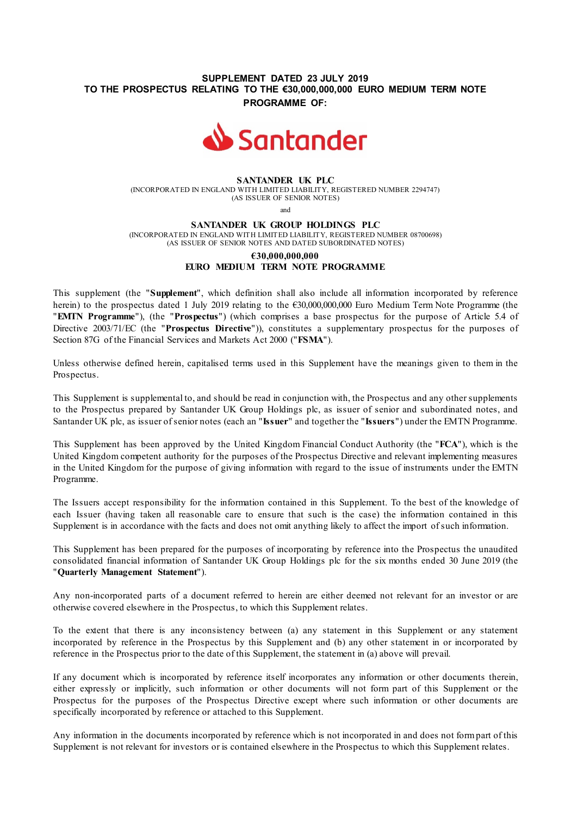# **SUPPLEMENT DATED 23 JULY 2019 TO THE PROSPECTUS RELATING TO THE €30,000,000,000 EURO MEDIUM TERM NOTE PROGRAMME OF:**



#### **SANTANDER UK PLC**

(INCORPORATED IN ENGLAND WITH LIMITED LIABILITY, REGISTERED NUMBER 2294747) (AS ISSUER OF SENIOR NOTES)

and

#### **SANTANDER UK GROUP HOLDINGS PLC**

(INCORPORATED IN ENGLAND WITH LIMITED LIABILITY, REGISTERED NUMBER 08700698) (AS ISSUER OF SENIOR NOTES AND DATED SUBORDINATED NOTES)

# **€30,000,000,000 EURO MEDIUM TERM NOTE PROGRAMME**

This supplement (the "**Supplement**", which definition shall also include all information incorporated by reference herein) to the prospectus dated 1 July 2019 relating to the €30,000,000,000 Euro Medium Term Note Programme (the "**EMTN Programme**"), (the "**Prospectus**") (which comprises a base prospectus for the purpose of Article 5.4 of Directive 2003/71/EC (the "**Prospectus Directive**")), constitutes a supplementary prospectus for the purposes of Section 87G of the Financial Services and Markets Act 2000 ("**FSMA**").

Unless otherwise defined herein, capitalised terms used in this Supplement have the meanings given to them in the Prospectus.

This Supplement is supplemental to, and should be read in conjunction with, the Prospectus and any other supplements to the Prospectus prepared by Santander UK Group Holdings plc, as issuer of senior and subordinated notes, and Santander UK plc, as issuer of senior notes (each an "**Issuer**" and together the "**Issuers**") under the EMTN Programme.

This Supplement has been approved by the United Kingdom Financial Conduct Authority (the "**FCA**"), which is the United Kingdom competent authority for the purposes of the Prospectus Directive and relevant implementing measures in the United Kingdom for the purpose of giving information with regard to the issue of instruments under the EMTN Programme.

The Issuers accept responsibility for the information contained in this Supplement. To the best of the knowledge of each Issuer (having taken all reasonable care to ensure that such is the case) the information contained in this Supplement is in accordance with the facts and does not omit anything likely to affect the import of such information.

This Supplement has been prepared for the purposes of incorporating by reference into the Prospectus the unaudited consolidated financial information of Santander UK Group Holdings plc for the six months ended 30 June 2019 (the "**Quarterly Management Statement**").

Any non-incorporated parts of a document referred to herein are either deemed not relevant for an investor or are otherwise covered elsewhere in the Prospectus, to which this Supplement relates.

To the extent that there is any inconsistency between (a) any statement in this Supplement or any statement incorporated by reference in the Prospectus by this Supplement and (b) any other statement in or incorporated by reference in the Prospectus prior to the date of this Supplement, the statement in (a) above will prevail.

If any document which is incorporated by reference itself incorporates any information or other documents therein, either expressly or implicitly, such information or other documents will not form part of this Supplement or the Prospectus for the purposes of the Prospectus Directive except where such information or other documents are specifically incorporated by reference or attached to this Supplement.

Any information in the documents incorporated by reference which is not incorporated in and does not form part of this Supplement is not relevant for investors or is contained elsewhere in the Prospectus to which this Supplement relates.